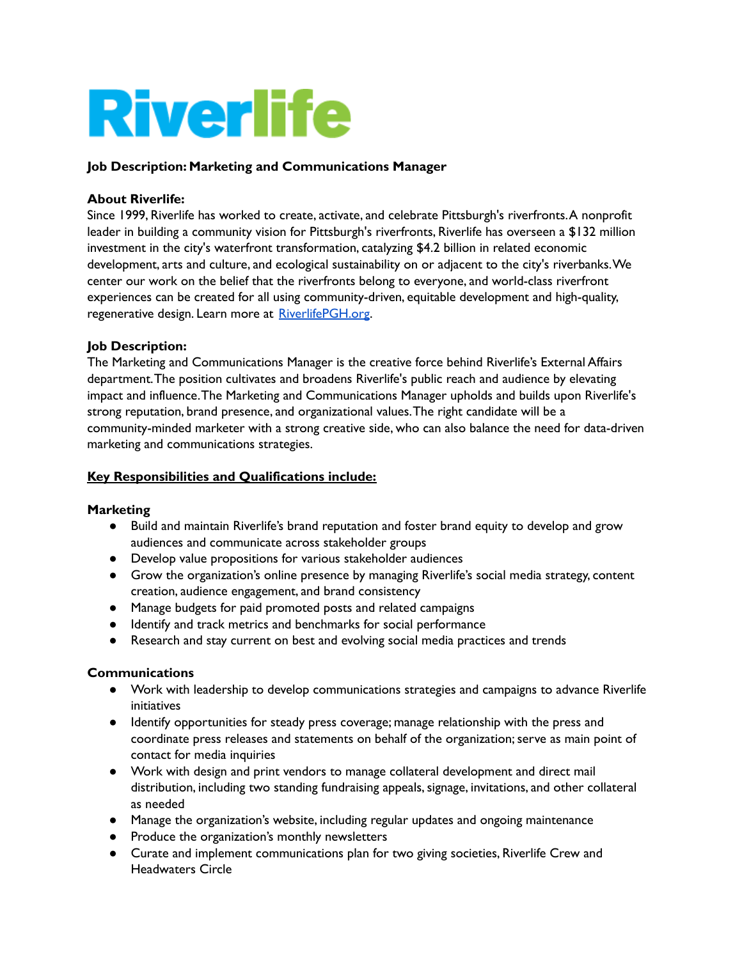# **Riverlife**

# **Job Description: Marketing and Communications Manager**

### **About Riverlife:**

Since 1999, Riverlife has worked to create, activate, and celebrate Pittsburgh's riverfronts.A nonprofit leader in building a community vision for Pittsburgh's riverfronts, Riverlife has overseen a \$132 million investment in the city's waterfront transformation, catalyzing \$4.2 billion in related economic development, arts and culture, and ecological sustainability on or adjacent to the city's riverbanks.We center our work on the belief that the riverfronts belong to everyone, and world-class riverfront experiences can be created for all using community-driven, equitable development and high-quality, regenerative design. Learn more at [RiverlifePGH.org](http://riverlifepgh.org).

# **Job Description:**

The Marketing and Communications Manager is the creative force behind Riverlife's External Affairs department.The position cultivates and broadens Riverlife's public reach and audience by elevating impact and influence.The Marketing and Communications Manager upholds and builds upon Riverlife's strong reputation, brand presence, and organizational values.The right candidate will be a community-minded marketer with a strong creative side, who can also balance the need for data-driven marketing and communications strategies.

# **Key Responsibilities and Qualifications include:**

### **Marketing**

- Build and maintain Riverlife's brand reputation and foster brand equity to develop and grow audiences and communicate across stakeholder groups
- Develop value propositions for various stakeholder audiences
- Grow the organization's online presence by managing Riverlife's social media strategy, content creation, audience engagement, and brand consistency
- Manage budgets for paid promoted posts and related campaigns
- Identify and track metrics and benchmarks for social performance
- Research and stay current on best and evolving social media practices and trends

### **Communications**

- Work with leadership to develop communications strategies and campaigns to advance Riverlife initiatives
- Identify opportunities for steady press coverage; manage relationship with the press and coordinate press releases and statements on behalf of the organization; serve as main point of contact for media inquiries
- Work with design and print vendors to manage collateral development and direct mail distribution, including two standing fundraising appeals,signage, invitations, and other collateral as needed
- Manage the organization's website, including regular updates and ongoing maintenance
- Produce the organization's monthly newsletters
- Curate and implement communications plan for two giving societies, Riverlife Crew and Headwaters Circle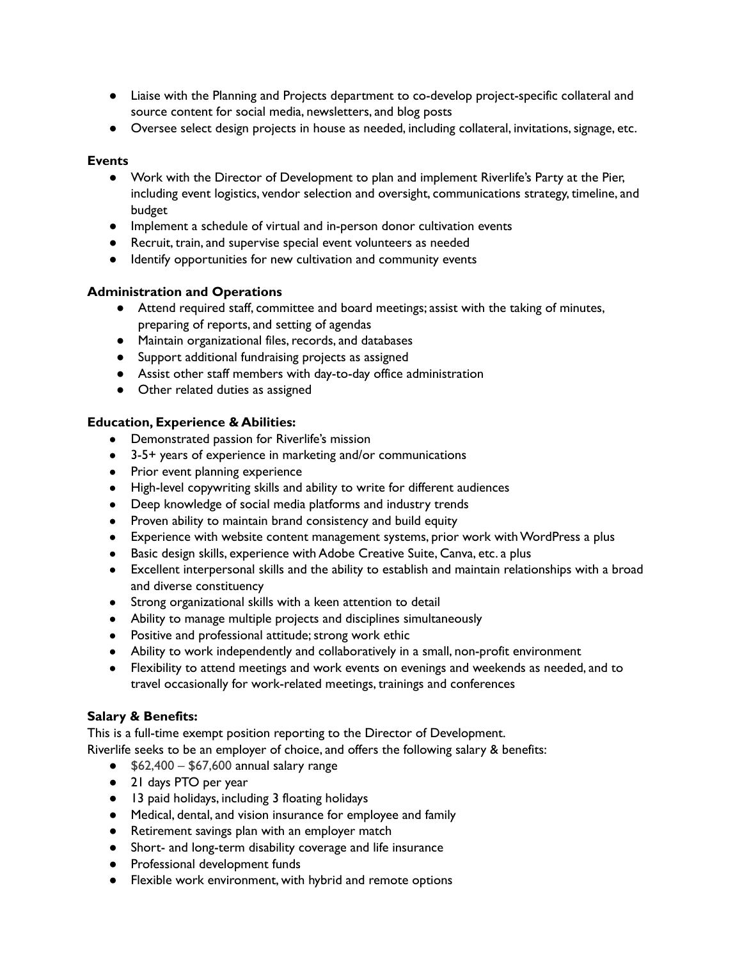- Liaise with the Planning and Projects department to co-develop project-specific collateral and source content for social media, newsletters, and blog posts
- Oversee select design projects in house as needed, including collateral, invitations,signage, etc.

### **Events**

- Work with the Director of Development to plan and implement Riverlife's Party at the Pier, including event logistics, vendor selection and oversight, communications strategy, timeline, and budget
- Implement a schedule of virtual and in-person donor cultivation events
- Recruit, train, and supervise special event volunteers as needed
- Identify opportunities for new cultivation and community events

# **Administration and Operations**

- Attend required staff, committee and board meetings; assist with the taking of minutes, preparing of reports, and setting of agendas
- Maintain organizational files,records, and databases
- Support additional fundraising projects as assigned
- Assist other staff members with day-to-day office administration
- Other related duties as assigned

# **Education, Experience & Abilities:**

- Demonstrated passion for Riverlife's mission
- 3-5+ years of experience in marketing and/or communications
- Prior event planning experience
- High-level copywriting skills and ability to write for different audiences
- Deep knowledge of social media platforms and industry trends
- Proven ability to maintain brand consistency and build equity
- Experience with website content management systems, prior work withWordPress a plus
- Basic design skills, experience with Adobe Creative Suite, Canva, etc. a plus
- Excellent interpersonal skills and the ability to establish and maintain relationships with a broad and diverse constituency
- Strong organizational skills with a keen attention to detail
- Ability to manage multiple projects and disciplines simultaneously
- Positive and professional attitude; strong work ethic
- Ability to work independently and collaboratively in a small, non-profit environment
- Flexibility to attend meetings and work events on evenings and weekends as needed, and to travel occasionally for work-related meetings, trainings and conferences

# **Salary & Benefits:**

This is a full-time exempt position reporting to the Director of Development. Riverlife seeks to be an employer of choice, and offers the following salary & benefits:

- $\bullet$  \$62,400 \$67,600 annual salary range
- 21 days PTO per year
- 13 paid holidays, including 3 floating holidays
- Medical, dental, and vision insurance for employee and family
- Retirement savings plan with an employer match
- Short- and long-term disability coverage and life insurance
- Professional development funds
- Flexible work environment, with hybrid and remote options